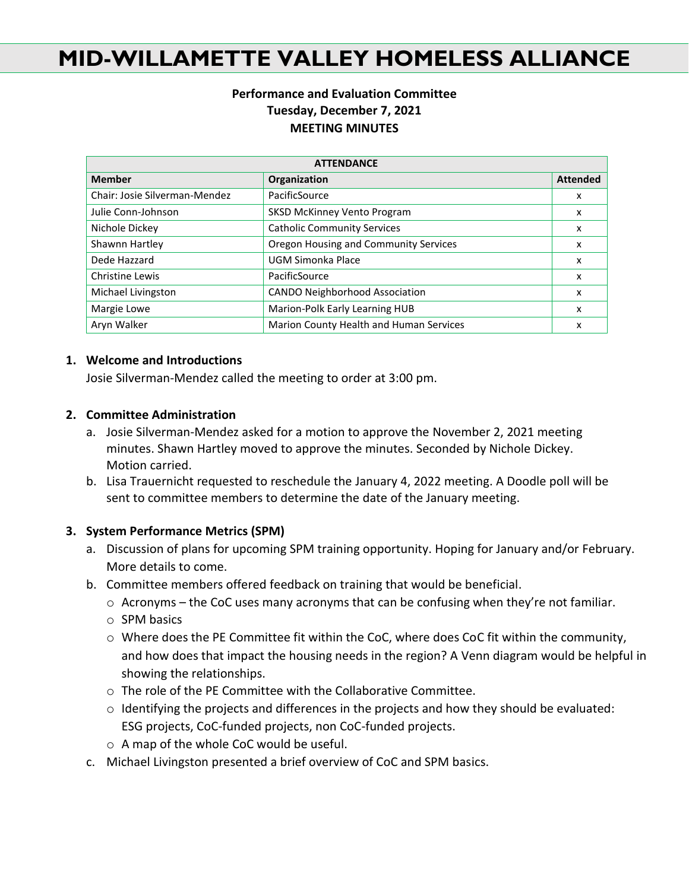# **MID-WILLAMETTE VALLEY HOMELESS ALLIANCE**

## **Performance and Evaluation Committee Tuesday, December 7, 2021 MEETING MINUTES**

| <b>ATTENDANCE</b>             |                                         |                 |
|-------------------------------|-----------------------------------------|-----------------|
| <b>Member</b>                 | Organization                            | <b>Attended</b> |
| Chair: Josie Silverman-Mendez | PacificSource                           | x               |
| Julie Conn-Johnson            | <b>SKSD McKinney Vento Program</b>      | x               |
| Nichole Dickey                | <b>Catholic Community Services</b>      | x               |
| Shawnn Hartley                | Oregon Housing and Community Services   | x               |
| Dede Hazzard                  | UGM Simonka Place                       | x               |
| Christine Lewis               | PacificSource                           | x               |
| Michael Livingston            | <b>CANDO Neighborhood Association</b>   | x               |
| Margie Lowe                   | Marion-Polk Early Learning HUB          | x               |
| Aryn Walker                   | Marion County Health and Human Services | x               |

#### **1. Welcome and Introductions**

Josie Silverman-Mendez called the meeting to order at 3:00 pm.

### **2. Committee Administration**

- a. Josie Silverman-Mendez asked for a motion to approve the November 2, 2021 meeting minutes. Shawn Hartley moved to approve the minutes. Seconded by Nichole Dickey. Motion carried.
- b. Lisa Trauernicht requested to reschedule the January 4, 2022 meeting. A Doodle poll will be sent to committee members to determine the date of the January meeting.

#### **3. System Performance Metrics (SPM)**

- a. Discussion of plans for upcoming SPM training opportunity. Hoping for January and/or February. More details to come.
- b. Committee members offered feedback on training that would be beneficial.
	- $\circ$  Acronyms the CoC uses many acronyms that can be confusing when they're not familiar.
	- o SPM basics
	- $\circ$  Where does the PE Committee fit within the CoC, where does CoC fit within the community, and how does that impact the housing needs in the region? A Venn diagram would be helpful in showing the relationships.
	- o The role of the PE Committee with the Collaborative Committee.
	- $\circ$  Identifying the projects and differences in the projects and how they should be evaluated: ESG projects, CoC-funded projects, non CoC-funded projects.
	- o A map of the whole CoC would be useful.
- c. Michael Livingston presented a brief overview of CoC and SPM basics.